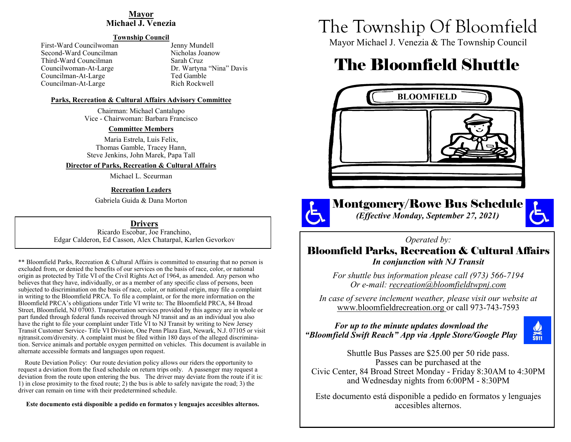### **Mayor Michael J. Venezia**

### **Township Council**

First-Ward Councilwoman Jenny Mundell<br>Second-Ward Councilman Jenny Nicholas Joanow Second-Ward Councilman Third-Ward Councilman Sarah Cruz Councilman-At-Large Ted Gamble<br>
Councilman-At-Large Rich Rockwell Councilman-At-Large

Councilwoman-At-Large Dr. Wartyna "Nina" Davis

#### **Parks, Recreation & Cultural Affairs Advisory Committee**

Chairman: Michael Cantalupo Vice - Chairwoman: Barbara Francisco

#### **Committee Members**

Maria Estrela, Luis Felix, Thomas Gamble, Tracey Hann, Steve Jenkins, John Marek, Papa Tall

**Director of Parks, Recreation & Cultural Affairs**

Michael L. Sceurman

### **Recreation Leaders**

Gabriela Guida & Dana Morton

**Drivers**

Ricardo Escobar, Joe Franchino, Edgar Calderon, Ed Casson, Alex Chatarpal, Karlen Gevorkov

\*\* Bloomfield Parks, Recreation & Cultural Affairs is committed to ensuring that no person is excluded from, or denied the benefits of our services on the basis of race, color, or national origin as protected by Title VI of the Civil Rights Act of 1964, as amended. Any person who believes that they have, individually, or as a member of any specific class of persons, been subjected to discrimination on the basis of race, color, or national origin, may file a complaint in writing to the Bloomfield PRCA. To file a complaint, or for the more information on the Bloomfield PRCA's obligations under Title VI write to: The Bloomfield PRCA, 84 Broad Street, Bloomfield, NJ 07003. Transportation services provided by this agency are in whole or part funded through federal funds received through NJ transit and as an individual you also have the right to file your complaint under Title VI to NJ Transit by writing to New Jersey Transit Customer Service- Title VI Division, One Penn Plaza East, Newark, N.J. 07105 or visit njtransit.com/diversity. A complaint must be filed within 180 days of the alleged discrimination. Service animals and portable oxygen permitted on vehicles. This document is available in alternate accessible formats and languages upon request.

 Route Deviation Policy: Our route deviation policy allows our riders the opportunity to request a deviation from the fixed schedule on return trips only. A passenger may request a deviation from the route upon entering the bus. The driver may deviate from the route if it is: 1) in close proximity to the fixed route; 2) the bus is able to safely navigate the road; 3) the driver can remain on time with their predetermined schedule.

**Este documento está disponible a pedido en formatos y lenguajes accesibles alternos.**

# The Township Of Bloomfield

Mayor Michael J. Venezia & The Township Council

# The Bloomfield Shuttle



Montgomery/Rowe Bus Schedule *(Effective Monday, September 27, 2021)*



*Operated by:* 

# Bloomfield Parks, Recreation & Cultural Affairs *In conjunction with NJ Transit*

*For shuttle bus information please call (973) 566-7194 Or e-mail: recreation@bloomfieldtwpnj.com*

*In case of severe inclement weather, please visit our website at* www.bloomfieldrecreation.org or call 973-743-7593

## *For up to the minute updates download the "Bloomfield Swift Reach" App via Apple Store/Google Play*



Shuttle Bus Passes are \$25.00 per 50 ride pass. Passes can be purchased at the Civic Center, 84 Broad Street Monday - Friday 8:30AM to 4:30PM and Wednesday nights from 6:00PM - 8:30PM

Este documento está disponible a pedido en formatos y lenguajes accesibles alternos.